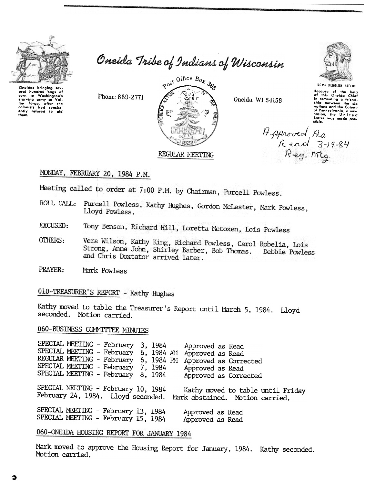

Oneida Tribe of Indians of Wisconsin



Oneida, WI 54155



Bocause of the help<br>of this Oneida Chief<br>in comenting a friend-<br>ship between the six ship between the six<br>notions and the Colony<br>of Pannsylvania, a new<br>nation, the United<br>States was made pos-<br>sible.

Asproved As<br>Read 3-19-84<br>Reg. mtg.

# MONDAY, FEBRUARY 20, 1984 P.M.

Phone: 869-2771

Meeting called to order at 7:00 P.M. by Chairman, Purcell Powless.

- ROLL CALL: Purcell Powless, Kathy Hughes, Gordon McLester, Mark Powless, Lloyd Powless.
- Tony Benson, Richard Hill, Loretta Metoxen, Lois Powless **EXCUSED:**
- Vera Wilson, Kathy King, Richard Powless, Carol Robelia, Lois **OTHERS:** Strong, Anna John, Shirley Barber, Bob Thomas. Debbie Powless and Chris Doxtator arrived later.
- PRAYER: Mark Powless

010-TREASURER'S REPORT - Kathy Hughes

Kathy moved to table the Treasurer's Report until March 5, 1984. Lloyd seconded. Motion carried.

## 060-BUSINESS COMMITTEE MINUTES

SPECIAL MEETING - February 3, 1984 Approved as Read SPECIAL MEETING - February 6, 1984 AM Approved as Read REGULAR MEETING - February 6, 1984 PM Approved as Corrected SPECIAL MEETING - February 7, 1984 Approved as Read SPECIAL MEETING - February 8, 1984 Approved as Corrected SPECIAL MEETING - February 10, 1984 Kathy moved to table until Friday February 24, 1984. Lloyd seconded. Mark abstained. Motion carried. SPECIAL MEETING - February 13, 1984 Approved as Read SPECIAL MEETING - February 15, 1984 Approved as Read

# 060-ONEIDA HOUSING REPORT FOR JANUARY 1984

Mark moved to approve the Housing Report for January, 1984. Kathy seconded. Motion carried.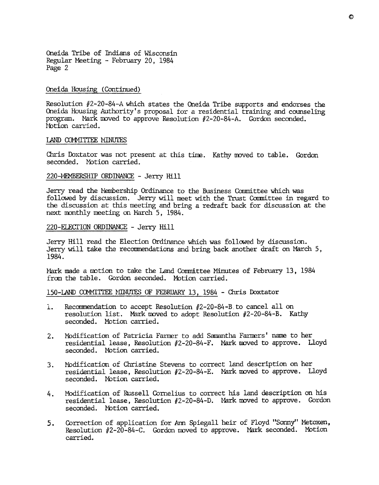Oneida Tribe of Indians of Wisconsin Regular Meeting -February 20, 1984 Page 2

### Oneida Housing (Continued)

Resolution #2-20-84-A which states the Oneida Tribe supports and endorses the Oneida Housing Authority's proposal for a residential training and counseling program. Nark moved to approve Resolution  $#2-20-84-A$ . Gordon seconded. Motion carried.

#### LAND COMMITTEE MINUTES

Chris Doxtator was not present at this time. Kathy moved to table. Gordon seconded. Motion carried.

#### 220-MEMBERSHIP ORDINANCE - Jerry Hill

Jerry read the Nembership Ordinance to the Business Committee which was followed by discussion. Jerry will meet with the Trust Coomittee in regard to the discussion at this meeting and bring a redraft back for discussion at the next monthly meeting on March 5, 1984.

#### 220-ELECTION ORDINANCE - Jerry Hill

Jerry Hill read the Election Ordinance which was followed by discussion. Jerry will take the recommendations and bring back another draft on March  $5$ , 1984.

Mark made a motion to take the Land Committee Minutes of February 13, 1984 from the table. Gordon seconded. Motion carried.

### 150-LAND COMMITTEE MINUTES OF FEBRUARY 13, 1984 - Chris Doxtator

- 1. Recommendation to accept Resolution #2-20-84-B to cancel all on resolution list. Mark moved to adopt Resolution #2-20-84-B. Kathy seconded. Motion carried.
- 2. Modification of Patricia Farmer to add Samantha Farmers' name to her residential lease, Resolution #2-20-84-F. Mark moved to approve. Lloyd seconded. Motion carried.
- Modification of Christine Stevens to correct land description on her  $3.$ residential lease, Resolution  $#2-20-84-E$ . Mark moved to approve. Lloyd seconded. Motion carried.
- Modification of Russell Cornelius to correct his land description on his 4. residential lease, Resolution  $#2-20-84-D$ . Mark moved to approve. Gordon seconded. Motion carried.
- 5. Correction of application for Ann Spiegall heir of Floyd "Sonny" Metoxen,<br>Resolution #2-20-84-C. Gordon moved to approve. Mark seconded. Motion<br>carried. Correction of application for Ann Spiegall heir of Floyd "Sonny" Metoxen, Resolution #2-20-84-C. Gordon moved to approve. Mark seconded. Motion carried. 5.